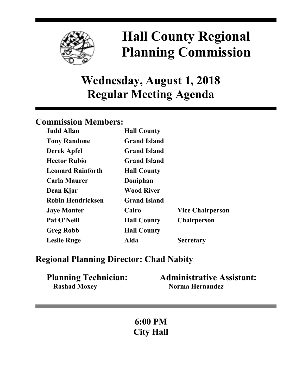

# **Hall County Regional Planning Commission**

**Wednesday, August 1, 2018 Regular Meeting Agenda**

# **Commission Members:**

| <b>Judd Allan</b>        | <b>Hall County</b>  |                         |
|--------------------------|---------------------|-------------------------|
| <b>Tony Randone</b>      | <b>Grand Island</b> |                         |
| <b>Derek Apfel</b>       | <b>Grand Island</b> |                         |
| <b>Hector Rubio</b>      | <b>Grand Island</b> |                         |
| <b>Leonard Rainforth</b> | <b>Hall County</b>  |                         |
| <b>Carla Maurer</b>      | Doniphan            |                         |
| Dean Kjar                | <b>Wood River</b>   |                         |
| <b>Robin Hendricksen</b> | <b>Grand Island</b> |                         |
| <b>Jaye Monter</b>       | Cairo               | <b>Vice Chairperson</b> |
| Pat O'Neill              | <b>Hall County</b>  | <b>Chairperson</b>      |
| <b>Greg Robb</b>         | <b>Hall County</b>  |                         |
| <b>Leslie Ruge</b>       | Alda                | <b>Secretary</b>        |

# **Regional Planning Director: Chad Nabity**

| <b>Planning Technician:</b> | <b>Administrative Assistant:</b> |
|-----------------------------|----------------------------------|
| <b>Rashad Moxey</b>         | Norma Hernandez                  |

**6:00 PM City Hall**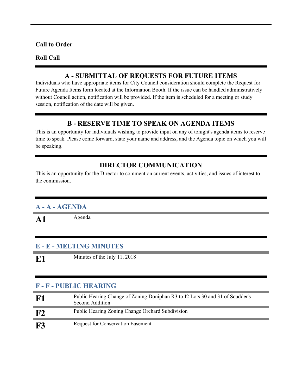#### **Call to Order**

#### **Roll Call**

#### **A - SUBMITTAL OF REQUESTS FOR FUTURE ITEMS**

Individuals who have appropriate items for City Council consideration should complete the Request for Future Agenda Items form located at the Information Booth. If the issue can be handled administratively without Council action, notification will be provided. If the item is scheduled for a meeting or study session, notification of the date will be given.

#### **B - RESERVE TIME TO SPEAK ON AGENDA ITEMS**

This is an opportunity for individuals wishing to provide input on any of tonight's agenda items to reserve time to speak. Please come forward, state your name and address, and the Agenda topic on which you will be speaking.

## **DIRECTOR COMMUNICATION**

This is an opportunity for the Director to comment on current events, activities, and issues of interest to the commission.

## **A - A - AGENDA**

A1 Agenda

#### **E - E - MEETING MINUTES**

**E1** Minutes of the July 11, 2018

## **F - F - PUBLIC HEARING**

| F1         | Public Hearing Change of Zoning Doniphan R3 to I2 Lots 30 and 31 of Scudder's<br>Second Addition |
|------------|--------------------------------------------------------------------------------------------------|
| F2         | Public Hearing Zoning Change Orchard Subdivision                                                 |
| ${\bf F3}$ | <b>Request for Conservation Easement</b>                                                         |